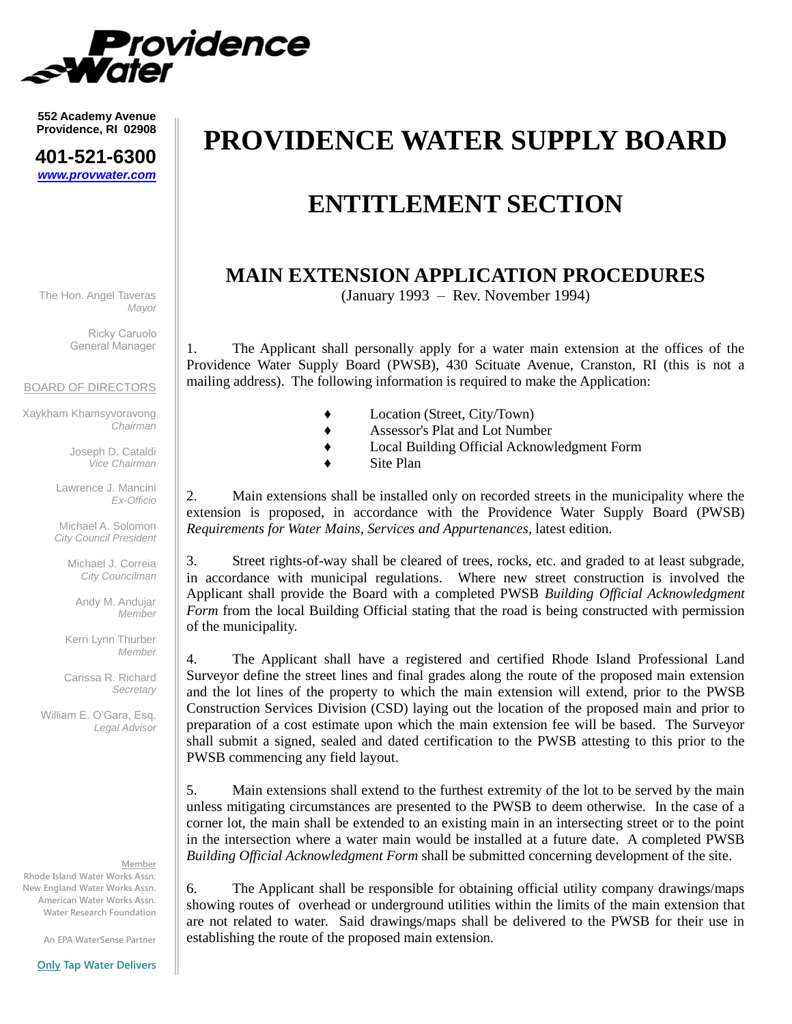

**401-521-6300** *www.provwater.com*

The Hon. Angel Taveras *Mayor*

> Ricky Caruolo General Manager

#### BOARD OF DIRECTORS

Xaykham Khamsyvoravong *Chairman*

> Joseph D. Cataldi *Vice Chairman*

Lawrence J. Mancini *Ex-Officio*

Michael A. Solomon *City Council President*

> Michael J. Correia *City Councilman*

Andy M. Andujar *Member*

Kerri Lynn Thurber *Member*

Carissa R. Richard *Secretary*

William E. O'Gara, Esq. *Legal Advisor*

#### **Member**

**Rhode Island Water Works Assn. New England Water Works Assn. American Water Works Assn. Water Research Foundation** 

**An EPA WaterSense Partner**

#### **Only Tap Water Delivers**

## **PROVIDENCE WATER SUPPLY BOARD**

### **ENTITLEMENT SECTION**

### **MAIN EXTENSION APPLICATION PROCEDURES**

(January 1993 – Rev. November 1994)

1. The Applicant shall personally apply for a water main extension at the offices of the Providence Water Supply Board (PWSB), 430 Scituate Avenue, Cranston, RI (this is not a mailing address). The following information is required to make the Application:

- ♦ Location (Street, City/Town)
- ♦ Assessor's Plat and Lot Number
- ♦ Local Building Official Acknowledgment Form
	- **Site Plan**

2. Main extensions shall be installed only on recorded streets in the municipality where the extension is proposed, in accordance with the Providence Water Supply Board (PWSB) *Requirements for Water Mains, Services and Appurtenances*, latest edition.

3. Street rights-of-way shall be cleared of trees, rocks, etc. and graded to at least subgrade, in accordance with municipal regulations. Where new street construction is involved the Applicant shall provide the Board with a completed PWSB *Building Official Acknowledgment Form* from the local Building Official stating that the road is being constructed with permission of the municipality.

4. The Applicant shall have a registered and certified Rhode Island Professional Land Surveyor define the street lines and final grades along the route of the proposed main extension and the lot lines of the property to which the main extension will extend, prior to the PWSB Construction Services Division (CSD) laying out the location of the proposed main and prior to preparation of a cost estimate upon which the main extension fee will be based. The Surveyor shall submit a signed, sealed and dated certification to the PWSB attesting to this prior to the PWSB commencing any field layout.

5. Main extensions shall extend to the furthest extremity of the lot to be served by the main unless mitigating circumstances are presented to the PWSB to deem otherwise. In the case of a corner lot, the main shall be extended to an existing main in an intersecting street or to the point in the intersection where a water main would be installed at a future date. A completed PWSB *Building Official Acknowledgment Form* shall be submitted concerning development of the site.

6. The Applicant shall be responsible for obtaining official utility company drawings/maps showing routes of overhead or underground utilities within the limits of the main extension that are not related to water. Said drawings/maps shall be delivered to the PWSB for their use in establishing the route of the proposed main extension.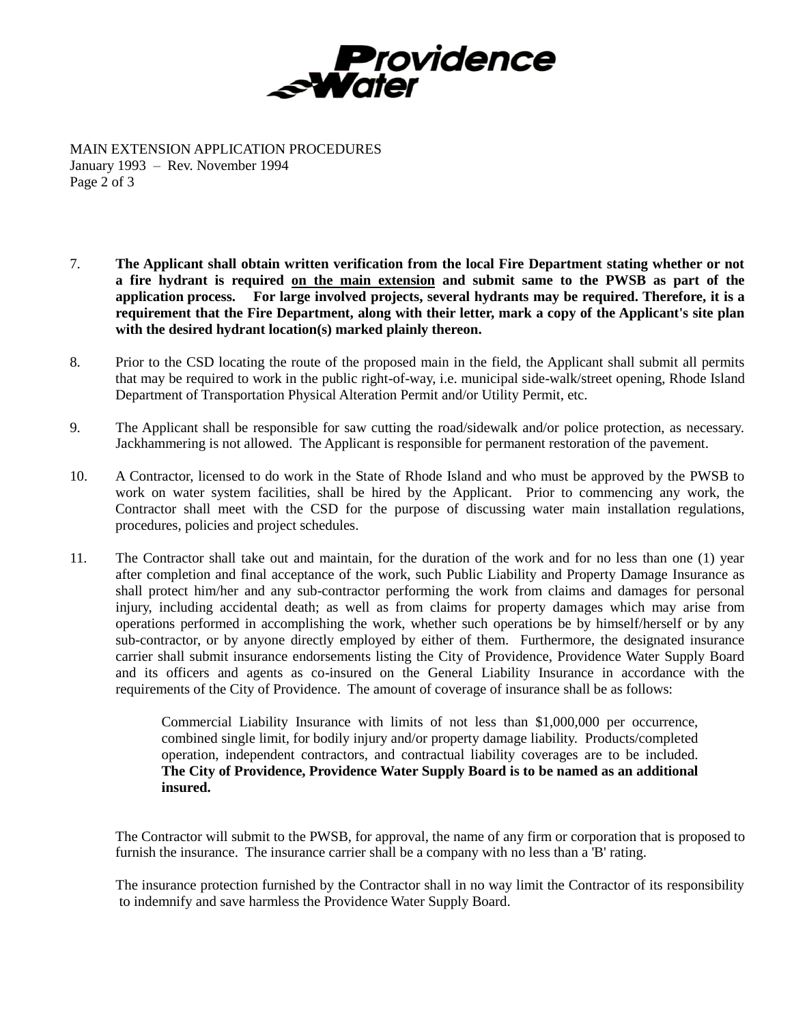

MAIN EXTENSION APPLICATION PROCEDURES January 1993 – Rev. November 1994 Page 2 of 3

- 7. **The Applicant shall obtain written verification from the local Fire Department stating whether or not a fire hydrant is required on the main extension and submit same to the PWSB as part of the application process. For large involved projects, several hydrants may be required. Therefore, it is a requirement that the Fire Department, along with their letter, mark a copy of the Applicant's site plan with the desired hydrant location(s) marked plainly thereon.**
- 8. Prior to the CSD locating the route of the proposed main in the field, the Applicant shall submit all permits that may be required to work in the public right-of-way, i.e. municipal side-walk/street opening, Rhode Island Department of Transportation Physical Alteration Permit and/or Utility Permit, etc.
- 9. The Applicant shall be responsible for saw cutting the road/sidewalk and/or police protection, as necessary. Jackhammering is not allowed. The Applicant is responsible for permanent restoration of the pavement.
- 10. A Contractor, licensed to do work in the State of Rhode Island and who must be approved by the PWSB to work on water system facilities, shall be hired by the Applicant. Prior to commencing any work, the Contractor shall meet with the CSD for the purpose of discussing water main installation regulations, procedures, policies and project schedules.
- 11. The Contractor shall take out and maintain, for the duration of the work and for no less than one (1) year after completion and final acceptance of the work, such Public Liability and Property Damage Insurance as shall protect him/her and any sub-contractor performing the work from claims and damages for personal injury, including accidental death; as well as from claims for property damages which may arise from operations performed in accomplishing the work, whether such operations be by himself/herself or by any sub-contractor, or by anyone directly employed by either of them. Furthermore, the designated insurance carrier shall submit insurance endorsements listing the City of Providence, Providence Water Supply Board and its officers and agents as co-insured on the General Liability Insurance in accordance with the requirements of the City of Providence. The amount of coverage of insurance shall be as follows:

Commercial Liability Insurance with limits of not less than \$1,000,000 per occurrence, combined single limit, for bodily injury and/or property damage liability. Products/completed operation, independent contractors, and contractual liability coverages are to be included. **The City of Providence, Providence Water Supply Board is to be named as an additional insured.**

The Contractor will submit to the PWSB, for approval, the name of any firm or corporation that is proposed to furnish the insurance. The insurance carrier shall be a company with no less than a 'B' rating.

The insurance protection furnished by the Contractor shall in no way limit the Contractor of its responsibility to indemnify and save harmless the Providence Water Supply Board.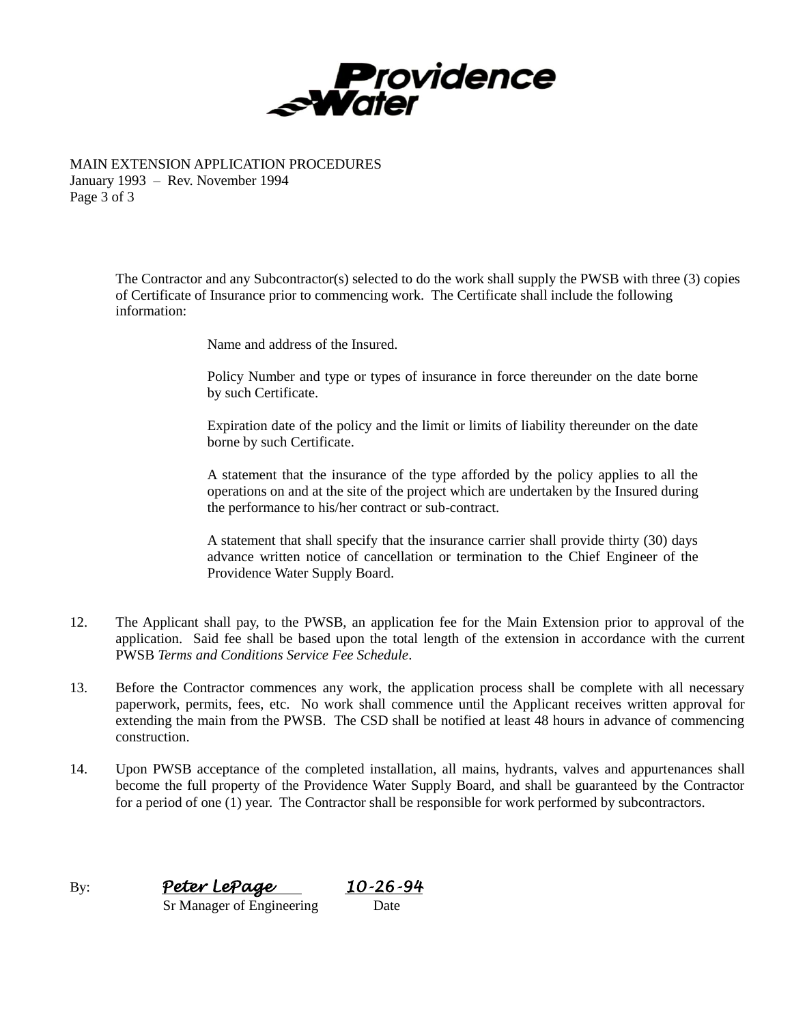

MAIN EXTENSION APPLICATION PROCEDURES January 1993 – Rev. November 1994 Page 3 of 3

> The Contractor and any Subcontractor(s) selected to do the work shall supply the PWSB with three (3) copies of Certificate of Insurance prior to commencing work. The Certificate shall include the following information:

> > Name and address of the Insured.

Policy Number and type or types of insurance in force thereunder on the date borne by such Certificate.

Expiration date of the policy and the limit or limits of liability thereunder on the date borne by such Certificate.

A statement that the insurance of the type afforded by the policy applies to all the operations on and at the site of the project which are undertaken by the Insured during the performance to his/her contract or sub-contract.

A statement that shall specify that the insurance carrier shall provide thirty (30) days advance written notice of cancellation or termination to the Chief Engineer of the Providence Water Supply Board.

- 12. The Applicant shall pay, to the PWSB, an application fee for the Main Extension prior to approval of the application. Said fee shall be based upon the total length of the extension in accordance with the current PWSB *Terms and Conditions Service Fee Schedule*.
- 13. Before the Contractor commences any work, the application process shall be complete with all necessary paperwork, permits, fees, etc. No work shall commence until the Applicant receives written approval for extending the main from the PWSB. The CSD shall be notified at least 48 hours in advance of commencing construction.
- 14. Upon PWSB acceptance of the completed installation, all mains, hydrants, valves and appurtenances shall become the full property of the Providence Water Supply Board, and shall be guaranteed by the Contractor for a period of one (1) year. The Contractor shall be responsible for work performed by subcontractors.

By: *Peter LePage 10-26-94*

Sr Manager of Engineering Date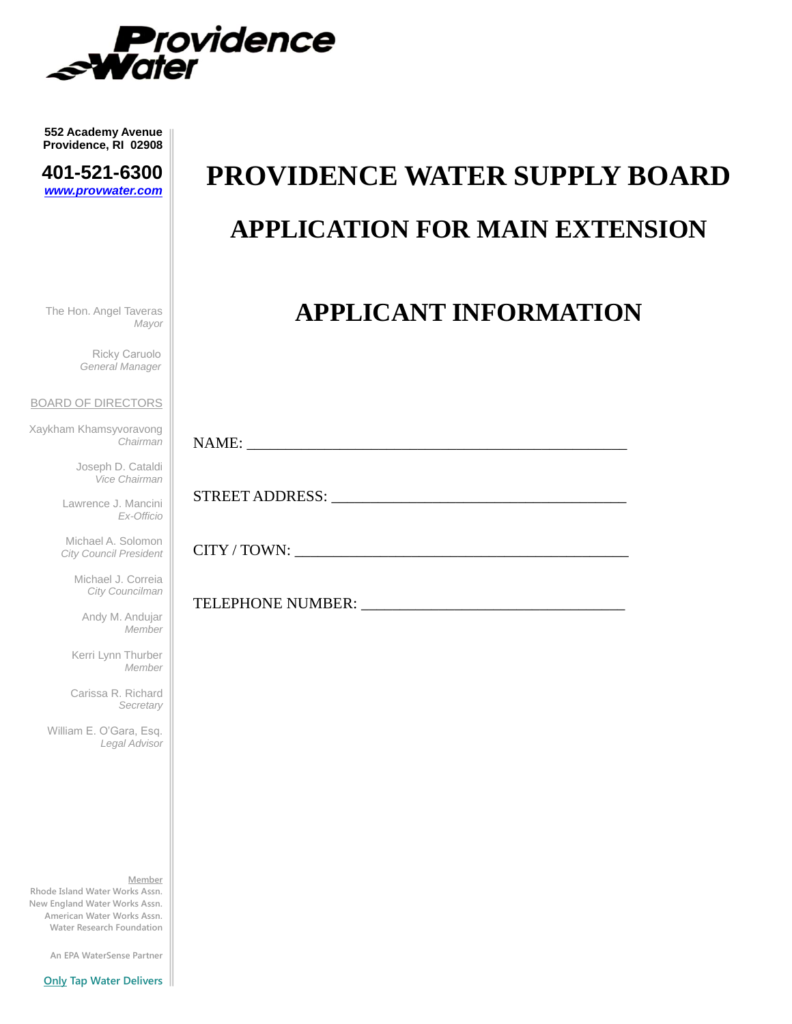

| 401-521-6300      |  |
|-------------------|--|
| www.provwater.com |  |

The Hon. Angel Taveras *Mayor*

> Ricky Caruolo *General Manager*

#### BOARD OF DIRECTORS

Xaykham Khamsyvoravong *Chairman*

> Joseph D. Cataldi *Vice Chairman*

Lawrence J. Mancini *Ex-Officio*

Michael A. Solomon *City Council President*

Michael J. Correia *City Councilman*

> Andy M. Andujar *Member*

Kerri Lynn Thurber *Member*

Carissa R. Richard *Secretary*

William E. O'Gara, Esq. *Legal Advisor*

**Member Rhode Island Water Works Assn. New England Water Works Assn. American Water Works Assn. Water Research Foundation** 

**An EPA WaterSense Partner**

# **PROVIDENCE WATER SUPPLY BOARD APPLICATION FOR MAIN EXTENSION**

## **APPLICANT INFORMATION**

| NAMF<br>********** |  |  |  |
|--------------------|--|--|--|
|                    |  |  |  |

STREET ADDRESS: \_\_\_\_\_\_\_\_\_\_\_\_\_\_\_\_\_\_\_\_\_\_\_\_\_\_\_\_\_\_\_\_\_\_\_\_\_\_

CITY / TOWN: \_\_\_\_\_\_\_\_\_\_\_\_\_\_\_\_\_\_\_\_\_\_\_\_\_\_\_\_\_\_\_\_\_\_\_\_\_\_\_\_\_\_\_

TELEPHONE NUMBER: \_\_\_\_\_\_\_\_\_\_\_\_\_\_\_\_\_\_\_\_\_\_\_\_\_\_\_\_\_\_\_\_\_\_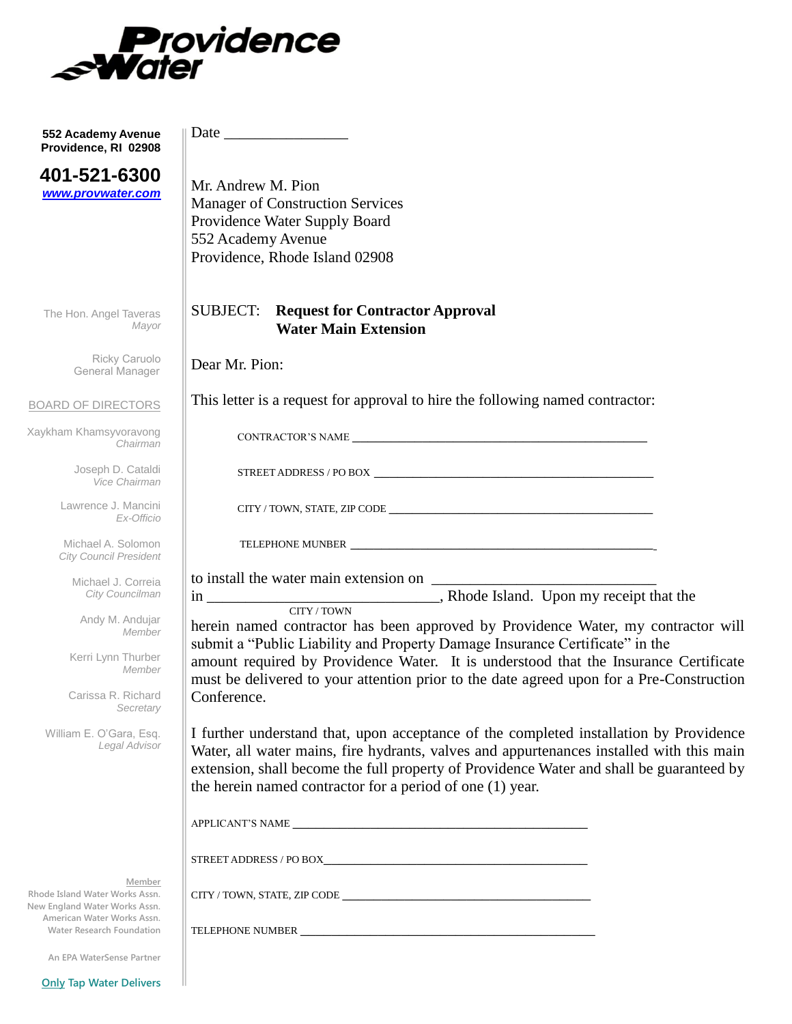

| 552 Academy Avenue<br>Providence, RI 02908                                                              |                                                                                                                                                                                                                                                                                                                                             |
|---------------------------------------------------------------------------------------------------------|---------------------------------------------------------------------------------------------------------------------------------------------------------------------------------------------------------------------------------------------------------------------------------------------------------------------------------------------|
| 401-521-6300<br>www.provwater.com                                                                       | Mr. Andrew M. Pion<br><b>Manager of Construction Services</b><br>Providence Water Supply Board<br>552 Academy Avenue<br>Providence, Rhode Island 02908                                                                                                                                                                                      |
| The Hon. Angel Taveras<br>Mayor                                                                         | <b>SUBJECT:</b><br><b>Request for Contractor Approval</b><br><b>Water Main Extension</b>                                                                                                                                                                                                                                                    |
| Ricky Caruolo<br>General Manager                                                                        | Dear Mr. Pion:                                                                                                                                                                                                                                                                                                                              |
| <b>BOARD OF DIRECTORS</b>                                                                               | This letter is a request for approval to hire the following named contractor:                                                                                                                                                                                                                                                               |
| Xaykham Khamsyvoravong<br>Chairman                                                                      |                                                                                                                                                                                                                                                                                                                                             |
| Joseph D. Cataldi<br>Vice Chairman                                                                      |                                                                                                                                                                                                                                                                                                                                             |
| Lawrence J. Mancini<br>Ex-Officio                                                                       |                                                                                                                                                                                                                                                                                                                                             |
| Michael A. Solomon<br><b>City Council President</b>                                                     |                                                                                                                                                                                                                                                                                                                                             |
| Michael J. Correia<br>City Councilman                                                                   | to install the water main extension on                                                                                                                                                                                                                                                                                                      |
| Andy M. Andujar<br>Member                                                                               | CITY/TOWN<br>herein named contractor has been approved by Providence Water, my contractor will<br>submit a "Public Liability and Property Damage Insurance Certificate" in the                                                                                                                                                              |
| Kerri Lynn Thurber<br>Member                                                                            | amount required by Providence Water. It is understood that the Insurance Certificate<br>must be delivered to your attention prior to the date agreed upon for a Pre-Construction                                                                                                                                                            |
| Carissa R. Richard<br>Secretary                                                                         | Conference.                                                                                                                                                                                                                                                                                                                                 |
| William E. O'Gara, Esq.<br>Legal Advisor                                                                | I further understand that, upon acceptance of the completed installation by Providence<br>Water, all water mains, fire hydrants, valves and appurtenances installed with this main<br>extension, shall become the full property of Providence Water and shall be guaranteed by<br>the herein named contractor for a period of one (1) year. |
|                                                                                                         |                                                                                                                                                                                                                                                                                                                                             |
|                                                                                                         |                                                                                                                                                                                                                                                                                                                                             |
| Member<br>Rhode Island Water Works Assn.<br>New England Water Works Assn.<br>American Water Works Assn. |                                                                                                                                                                                                                                                                                                                                             |
| Water Research Foundation                                                                               |                                                                                                                                                                                                                                                                                                                                             |

**An EPA WaterSense Partner**

I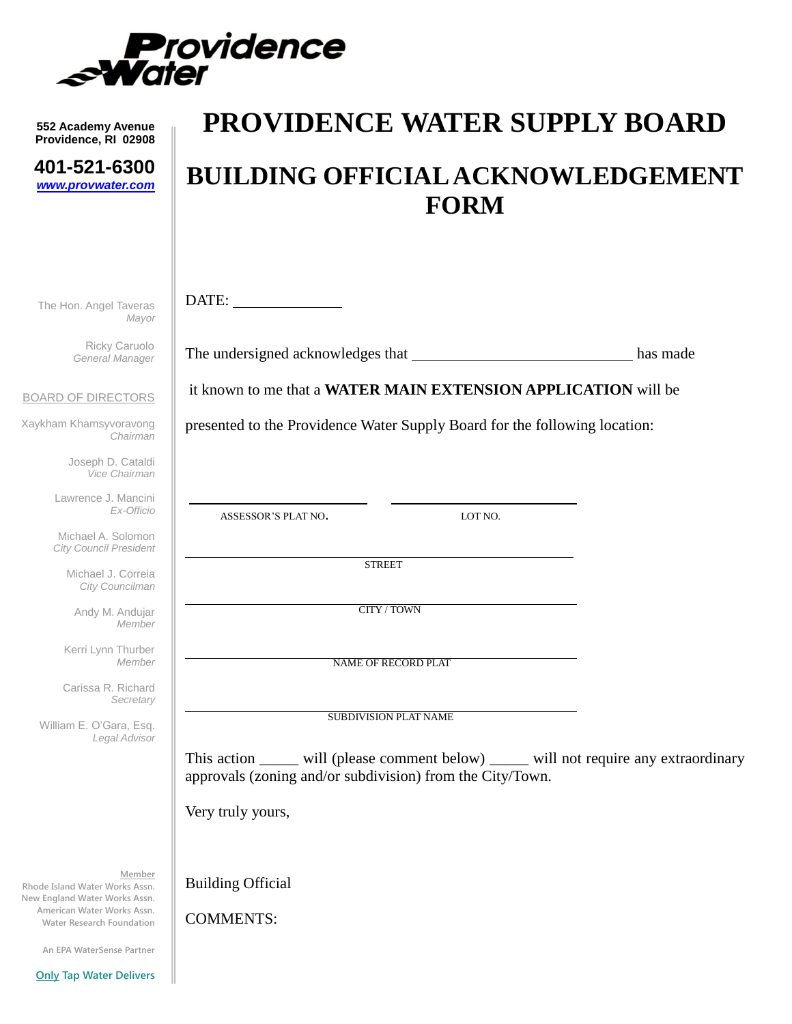

**401-521-6300** *www.provwater.com*

# **PROVIDENCE WATER SUPPLY BOARD BUILDING OFFICIAL ACKNOWLEDGEMENT**

**FORM**

| The Hon. Angel Taveras<br>Mayor                                           | DATE:                                                                                                                                                 |         |          |
|---------------------------------------------------------------------------|-------------------------------------------------------------------------------------------------------------------------------------------------------|---------|----------|
| Ricky Caruolo<br>General Manager                                          |                                                                                                                                                       |         | has made |
| <b>BOARD OF DIRECTORS</b>                                                 | it known to me that a WATER MAIN EXTENSION APPLICATION will be                                                                                        |         |          |
| Xaykham Khamsyvoravong<br>Chairman                                        | presented to the Providence Water Supply Board for the following location:                                                                            |         |          |
| Joseph D. Cataldi<br>Vice Chairman                                        |                                                                                                                                                       |         |          |
| Lawrence J. Mancini<br>Ex-Officio                                         | ASSESSOR'S PLAT NO.                                                                                                                                   | LOT NO. |          |
| Michael A. Solomon<br><b>City Council President</b>                       |                                                                                                                                                       |         |          |
| Michael J. Correia<br>City Councilman                                     | <b>STREET</b>                                                                                                                                         |         |          |
| Andy M. Andujar<br>Member                                                 | CITY / TOWN                                                                                                                                           |         |          |
| Kerri Lynn Thurber<br>Member                                              | NAME OF RECORD PLAT                                                                                                                                   |         |          |
| Carissa R. Richard<br>Secretary                                           |                                                                                                                                                       |         |          |
| William E. O'Gara, Esq.<br>Legal Advisor                                  | <b>SUBDIVISION PLAT NAME</b>                                                                                                                          |         |          |
|                                                                           | This action ______ will (please comment below) ______ will not require any extraordinary<br>approvals (zoning and/or subdivision) from the City/Town. |         |          |
|                                                                           | Very truly yours,                                                                                                                                     |         |          |
| Member<br>Rhode Island Water Works Assn.<br>New England Water Works Assn. | <b>Building Official</b>                                                                                                                              |         |          |
| American Water Works Assn.<br><b>Water Research Foundation</b>            | <b>COMMENTS:</b>                                                                                                                                      |         |          |

**An EPA WaterSense Partner**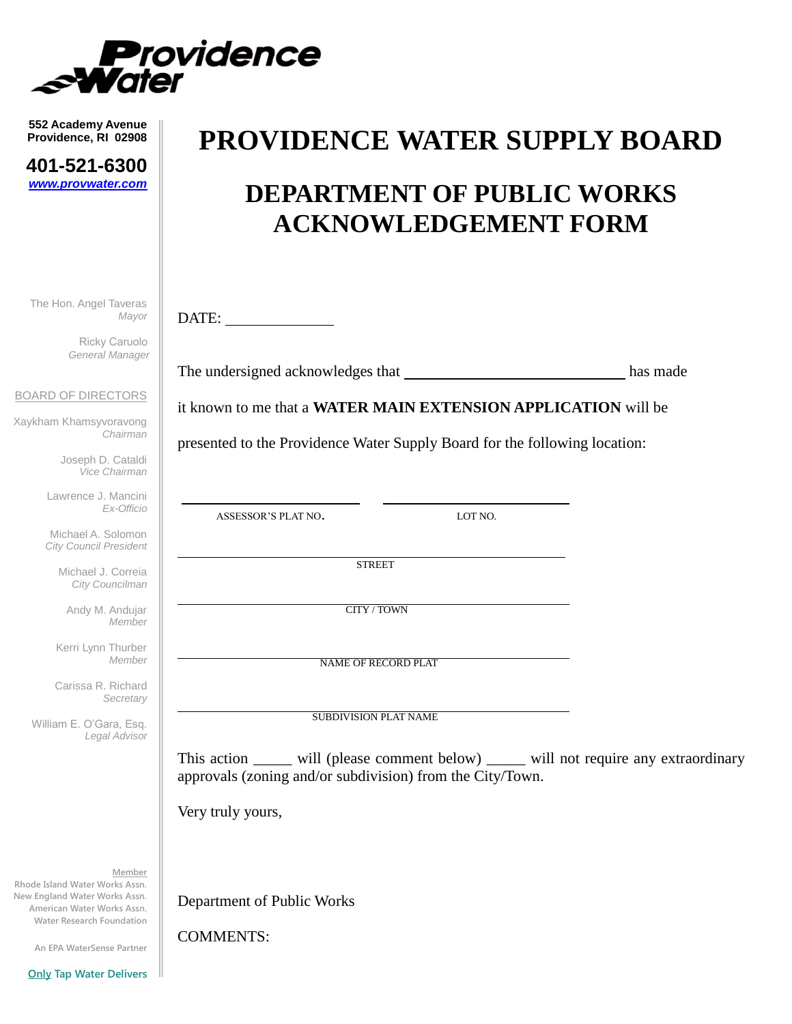

**401-521-6300** *www.provwater.com*

The Hon. Angel Taveras *Mayor*

> Ricky Caruolo *General Manager*

#### BOARD OF DIRECTORS

Xaykham Khamsyvoravong *Chairman*

> Joseph D. Cataldi *Vice Chairman*

Lawrence J. Mancini *Ex-Officio*

Michael A. Solomon *City Council President*

> Michael J. Correia *City Councilman*

Andy M. Andujar *Member*

Kerri Lynn Thurber *Member*

Carissa R. Richard *Secretary*

William E. O'Gara, Esq. *Legal Advisor*

**Member Rhode Island Water Works Assn. New England Water Works Assn. American Water Works Assn.**

**An EPA WaterSense Partner**

**Only Tap Water Delivers**

**Water Research Foundation** 

## **PROVIDENCE WATER SUPPLY BOARD**

## **DEPARTMENT OF PUBLIC WORKS ACKNOWLEDGEMENT FORM**

DATE: The undersigned acknowledges that has made has made it known to me that a **WATER MAIN EXTENSION APPLICATION** will be presented to the Providence Water Supply Board for the following location: ASSESSOR'S PLAT NO. LOT NO. **STREET** CITY / TOWN NAME OF RECORD PLAT SUBDIVISION PLAT NAME This action \_\_\_\_\_ will (please comment below) \_\_\_\_\_ will not require any extraordinary approvals (zoning and/or subdivision) from the City/Town. Very truly yours,

Department of Public Works

COMMENTS: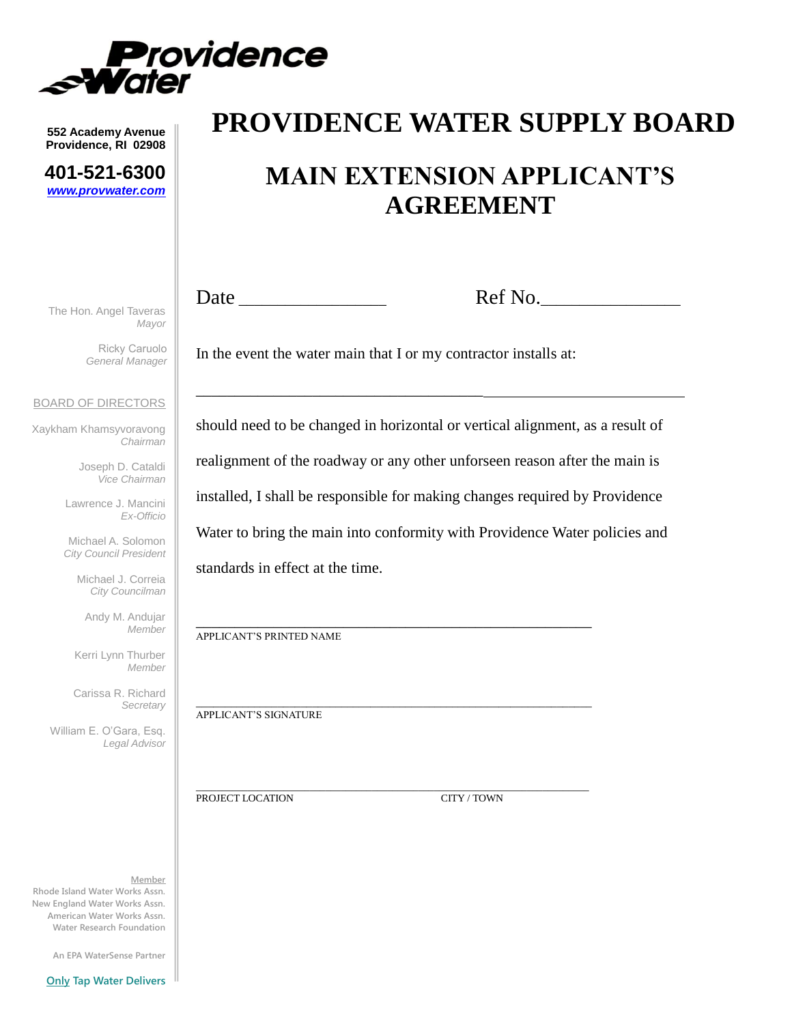

**401-521-6300** *www.provwater.com*

The Hon. Angel Taveras *Mayor*

> Ricky Caruolo *General Manager*

#### BOARD OF DIRECTORS

Xaykham Khamsyvoravong *Chairman*

> Joseph D. Cataldi *Vice Chairman*

Lawrence J. Mancini *Ex-Officio*

Michael A. Solomon *City Council President*

Michael J. Correia *City Councilman*

Andy M. Andujar *Member*

Kerri Lynn Thurber *Member*

Carissa R. Richard *Secretary*

William E. O'Gara, Esq. *Legal Advisor*

**Member Rhode Island Water Works Assn. New England Water Works Assn. American Water Works Assn. Water Research Foundation** 

**An EPA WaterSense Partner**

### **PROVIDENCE WATER SUPPLY BOARD**

### **MAIN EXTENSION APPLICANT'S AGREEMENT**

Date \_\_\_\_\_\_\_\_\_\_\_\_\_\_\_\_\_\_\_ Ref No.\_\_\_\_\_\_\_\_\_\_\_\_\_\_\_\_\_\_

In the event the water main that I or my contractor installs at:

\_\_\_\_\_\_\_\_\_\_\_\_\_\_\_\_\_\_\_\_\_\_\_\_\_\_\_\_\_\_\_\_\_\_\_\_\_

should need to be changed in horizontal or vertical alignment, as a result of realignment of the roadway or any other unforseen reason after the main is installed, I shall be responsible for making changes required by Providence Water to bring the main into conformity with Providence Water policies and standards in effect at the time.

\_\_\_\_\_\_\_\_\_\_\_\_\_\_\_\_\_\_\_\_\_\_\_\_\_\_\_\_\_\_\_\_\_\_\_\_\_\_\_\_\_\_\_\_\_\_\_\_\_\_\_ APPLICANT'S PRINTED NAME

\_\_\_\_\_\_\_\_\_\_\_\_\_\_\_\_\_\_\_\_\_\_\_\_\_\_\_\_\_\_\_\_\_\_\_\_\_\_\_\_\_\_\_\_\_\_\_\_\_\_\_\_\_\_\_\_\_\_\_\_\_\_\_\_\_\_\_\_ APPLICANT'S SIGNATURE

PROJECT LOCATION CITY / TOWN

\_\_\_\_\_\_\_\_\_\_\_\_\_\_\_\_\_\_\_\_\_\_\_\_\_\_\_\_\_\_\_\_\_\_\_\_\_\_\_\_\_\_\_\_\_\_\_\_\_\_\_\_\_\_\_\_\_\_\_\_\_\_\_\_\_\_\_\_\_\_\_\_\_\_\_\_